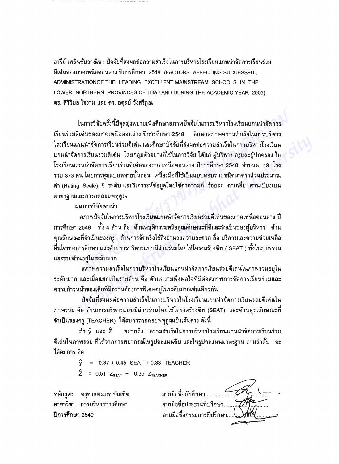อารีย์ เพลินชัยวาณิช : ปัจจัยที่ส่งผลต่อความสำเร็จในการบริหารโรงเรียนแกนนำจัดการเรียนร่วม ดีเด่นของภาคเหนือตอนล่าง ปีการศึกษา 2548 (FACTORS AFFECTING SUCCESSFUL ADMINISTRATIONOF THE LEADING EXCELLENT MAINSTREAM SCHOOLS IN THE LOWER NORTHERN PROVINCES OF THAILAND DURING THE ACADEMIC YEAR 2005) ดร. ศิริวิมล ใจงาม และ ดร. อดุลย์ วังศรีคูณ

ในการวิจัยครั้งนี้มีจุดมุ่งหมายเพื่อศึกษาสภาพปัจจัยในการบริหารโรงเรียนแกนนำจัดกา เรียนร่วมดีเด่นของภาคเหนือตอนล่าง ปีการศึกษา 2548 ศึกษาสภาพความสำเร็จในการบริหาร โรงเรียนแกนนำจัดการเรียนร่วมดีเด่น และศึกษาปัจจัยที่ส่งผลต่อความสำเร็จในการบริหารโรงเรียน แกนนำจัดการเรียนร่วมดีเด่น โดยกลุ่มตัวอย่างที่ใช้ในการวิจัย ได้แก่ ผู้บริหาร ครูและผู้ปกครอง ' โรงเรียนแกนนำจัดการเรียนร่วมดีเด่นของภาคเหนือตอนล่าง ปีการศึกษา 2548 จำนวน 19 โรง รวม 373 คน โดยการสุ่มแบบหลายขั้นตอน เครื่องมือที่ใช้เป็นแบบสอบถามชนิดมาตราส่วนประมาณ ี ค่า (Rating Scale) 5 ระดับ และวิเคราะห์ข้อมูลโดยใช้ค่าความถี่ ร้อยละ ค่าเฉลี่ย ส่วนเบี่ยงเบน มาตรฐานและการถดถอยพหุคูณ

## ผลการวิจัยพบว่า

สภาพปัจจัยในการบริหารโรงเรียนแกนนำจัดการเรียนร่วมดีเด่นของภาคเหนือตอนล่าง ปี  $~$ การศึกษา 2548  $~\,$ ทั้ง 4 ด้าน คือ ด้านพฤติกรรมหรือคุณลักษณะที่ดีและจำเป็นของผู้บริหาร ด้าน คุณลักษณะที่จำเป็นของครู ด้านการจัดหรือใช้สิ่งอำนวยความสะดวก สื่อ บริการและความช่วยเหลือ<br>. อื่นใดทางการศึกษา และด้านการบริหารแบบมีส่วนร่วมโดยใช้โครงสร้างซีท ( SEAT ) ทั้งในภาพรวม และรายด้านอยู่ในระดับมาก

สภาพความสำเร็จในการบริหารโรงเรียนแกนนำจัดการเรียนร่วมดีเด่นในภาพรวมอยู่ใน ีระดับมาก และเมื่อแยกเป็นรายด้าน คือ ด้านความพึงพอใจที่มีต่อสภาพการจัดการเรียนร่วมและ ความก้าวหน้าของเด็กที่มีความต้องการพิเศษอยู่ในระดับมากเช่นเดียวกัน

บัจจัยที่ส่งผลต่อความสำเร็จในการบริหารในโรงเรียนแกนนำจัดการเรียนร่วมดีเด่นใน ึ ภาพรวม คือ ด้านการบริหารแบบมีส่วนร่วมโดยใช้โครงสร้างซีท (SEAT) และด้านคุณลักษณะที่ -จำเป็นของครู (TEACHER) ได้สมการถดถอยพหุคูณเชิงเส้นตรง ดังนี้

ถ้า  $\hat{y}$  และ  $\hat{Z}$  - หมายถึง ความสำเร็จในการบริหารโรงเรียนแกนนำจัดการเรียนร่วม ดีเด่นในภาพรวม ที่ได้จากการพยากรณ์ในรูปคะแนนดิบ และในรูปคะแนนมาตรฐาน ตามลำดับ จะ ได้สมการ คือ

 $\hat{y}$  = 0.87 + 0.45 SEAT + 0.33 TEACHER

 $\hat{Z}$  = 0.51  $Z_{\text{SEAT}}$  + 0.35  $Z_{\text{TEACHER}}$ 

หลัก<mark>สูตร</mark> ครุศาสตรมหาบัณฑิต<br>สาขาวิชา การบริหารการศึกษา ปีการศึกษา 2549

ลายมือชื่อนักศึกษา...... ลายมือชื่อประธานที่ปรึกษา.... ลายมือชื่อกรรมการที่ปรึกษา..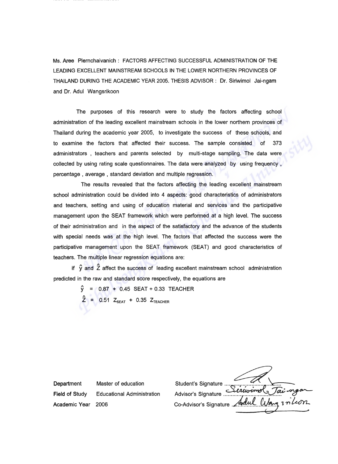Ms. Aree Plernchaivanich: FACTORS AFFECTING SUCCESSFUL ADMINISTRATION OF THE LEADING EXCELLENT MAINSTREAM SCHOOLS IN THE LOWER NORTHERN PROVINCES OF THAILAND DURING THE ACADEMIC YEAR 2005. THESIS ADVISOR: Dr. Siriwimol Jai-ngam and Dr. Adul Wangsrikoon

The purposes of this research were to study the factors affecting school administration of the leading excellent mainstream schools in the lower northern provinces of Thailand during the academic year 2005, to investigate the success of these schools, and to examine the factors that affected their success. The sample consisted of 373 administrators , teachers and parents selected by multi-stage sampling. The data were collected by using rating scale questionnaires. The data were analyzed by using frequency, percentage. average, standard deviation and multiple regression.

The results revealed that the factors affecting the leading excellent mainstream school administration could be divided into 4 aspects: good characteristics of administrators and teachers, setting and using of education material and services and the participative management upon the SEAT framework which were performed at a high level. The success of their administration and in the aspect of the satisfactory and the advance of the students with special needs was at the high level. The factors that affected the success were the participative management upon the SEAT framework (SEAT) and good characteristics of teachers. The multiple linear regression equations are:

if  $\hat{v}$  and  $\hat{z}$  affect the success of leading excellent mainstream school administration predicted in the raw and standard score respectively, the equations are

> y = 0.87 + 0.45 SEAT + 0.33 TEACHER<br>A = 0.01 = 0.01 = 0.07 =  $Z$  = 0.51  $Z_{\sf SEAT}$  + 0.35  $Z_{\sf TEACHEIR}$

Department Master of education Field of Study Educational Administration Academic Year 2006

Student's Signature ... Student's Signature .~ .... - Advisor's Signature *I; ; <sup>~</sup>* <sup>~</sup> Co-Advisor's Signature *.L~ ~,.* 1'Yl'~ <sup>~</sup> <sup>~</sup>